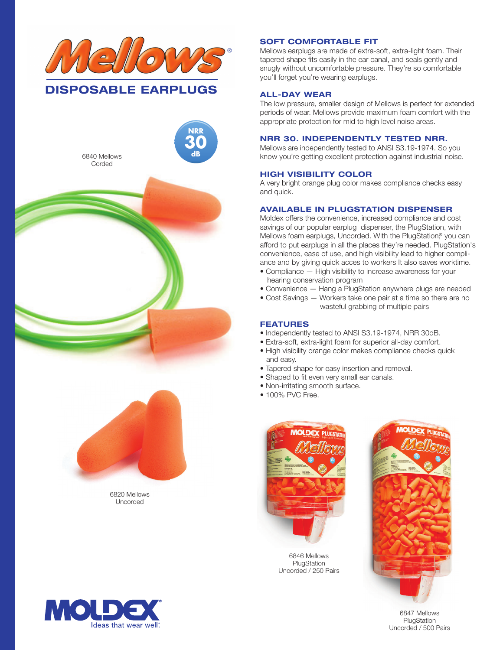





6820 Mellows Uncorded

# know you're getting excellent protection against industrial noise.

# **HIGH VISIBILITY COLOR**

**SOFT COMFORTABLE FIT**

you'll forget you're wearing earplugs.

**ALL-DAY WEAR**

A very bright orange plug color makes compliance checks easy and quick.

Mellows earplugs are made of extra-soft, extra-light foam. Their tapered shape fits easily in the ear canal, and seals gently and snugly without uncomfortable pressure. They're so comfortable

The low pressure, smaller design of Mellows is perfect for extended periods of wear. Mellows provide maximum foam comfort with the

appropriate protection for mid to high level noise areas.

**NRR 30. INDEPENDENTLY TESTED NRR.** Mellows are independently tested to ANSI S3.19-1974. So you

## **AVAILABLE IN PLUGSTATION DISPENSER**

Moldex offers the convenience, increased compliance and cost savings of our popular earplug dispenser, the PlugStation, with Mellows foam earplugs, Uncorded. With the PlugStation,<sup>®</sup> you can afford to put earplugs in all the places they're needed. PlugStation's convenience, ease of use, and high visibility lead to higher compliance and by giving quick acces to workers It also saves worktime.

- Compliance High visibility to increase awareness for your hearing conservation program
- Convenience Hang a PlugStation anywhere plugs are needed
- Cost Savings Workers take one pair at a time so there are no wasteful grabbing of multiple pairs

### **FEATURES**

- Independently tested to ANSI S3.19-1974, NRR 30dB.
- Extra-soft, extra-light foam for superior all-day comfort.
- High visibility orange color makes compliance checks quick and easy.
- Tapered shape for easy insertion and removal.
- Shaped to fit even very small ear canals.
- Non-irritating smooth surface.
- 100% PVC Free.



6846 Mellows PlugStation Uncorded / 250 Pairs



6847 Mellows PlugStation Uncorded / 500 Pairs